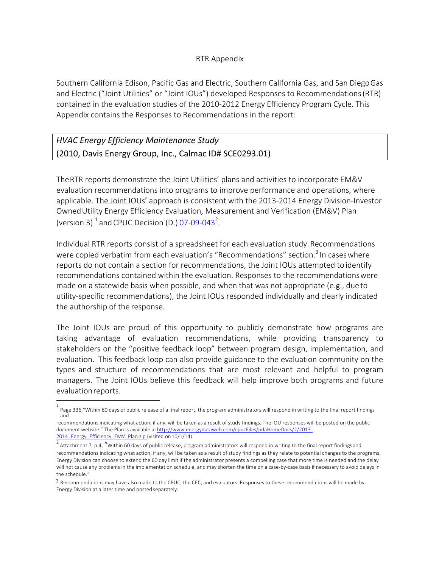### RTR Appendix

Southern California Edison, Pacific Gas and Electric, Southern California Gas, and San DiegoGas and Electric ("Joint Utilities" or "Joint IOUs") developed Responses to Recommendations(RTR) contained in the evaluation studies of the 2010-2012 Energy Efficiency Program Cycle. This Appendix contains the Responses to Recommendations in the report:

### *HVAC Energy Efficiency Maintenance Study*  (2010, Davis Energy Group, Inc., Calmac ID# SCE0293.01)

TheRTR reports demonstrate the Joint Utilities' plans and activities to incorporate EM&V evaluation recommendations into programs to improve performance and operations, where applicable. The Joint IOUs' approach is consistent with the 2013-2014 Energy Division-Investor OwnedUtility Energy Efficiency Evaluation, Measurement and Verification (EM&V) Plan (version 3)  $^1$  and CPUC Decision (D.) 07-09-043<sup>2</sup>.

Individual RTR reports consist of a spreadsheet for each evaluation study.Recommendations were copied verbatim from each evaluation's "Recommendations" section.<sup>3</sup> In cases where reports do not contain a section for recommendations, the Joint IOUs attempted to identify recommendations contained within the evaluation. Responses to the recommendationswere made on a statewide basis when possible, and when that was not appropriate (e.g., dueto utility-specific recommendations), the Joint IOUs responded individually and clearly indicated the authorship of the response.

The Joint IOUs are proud of this opportunity to publicly demonstrate how programs are taking advantage of evaluation recommendations, while providing transparency to stakeholders on the "positive feedback loop" between program design, implementation, and evaluation. This feedback loop can also provide guidance to the evaluation community on the types and structure of recommendations that are most relevant and helpful to program managers. The Joint IOUs believe this feedback will help improve both programs and future evaluationreports.

<sup>1</sup> Page 336,"Within 60 days of public release of a final report, the program administrators will respond in writing to the final report findings and

recommendations indicating what action, if any, will be taken as a result of study findings. The IOU responses will be posted on the public document website." The Plan is available at http://www.energydataweb.com/cpucFiles/pdaHomeDocs/2/2013- 2014\_Energy\_Efficiency\_EMV\_Plan.zip (visited on 10/1/14).

Attachment 7, p.4, "Within 60 days of public release, program administrators will respond in writing to the final report findingsand recommendations indicating what action, if any, will be taken as a result of study findings as they relate to potential changes to the programs. Energy Division can choose to extend the 60 day limit if the administrator presents a compelling case that more time is needed and the delay will not cause any problems in the implementation schedule, and may shorten the time on a case-by-case basis if necessary to avoid delays in the schedule."

<sup>3</sup> Recommendations may have also made to the CPUC, the CEC, and evaluators. Responses to these recommendations will be made by Energy Division at a later time and posted separately.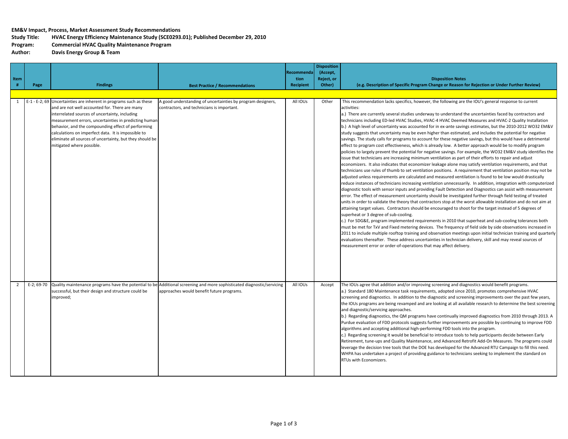#### **EM&V Impact, Process, Market Assessment Study Recommendations**

## **Study Title: HVAC Energy Efficiency Maintenance Study (SCE0293.01); Published December 29, 2010**

**Program: Commercial HVAC Quality Maintenance Program**

**Author: Energy Group & Team**

|                |      |                                                                                                                                                                                                                                                                                                                                                                                                                                       |                                                                                                                                                                                |                           | <b>Disposition</b>     |                                                                                                                                                                                                                                                                                                                                                                                                                                                                                                                                                                                                                                                                                                                                                                                                                                                                                                                                                                                                                                                                                                                                                                                                                                                                                                                                                                                                                                                                                                                                                                                                                                                                                                                                                                                                                                                                                                                                                                                                                                                                                                                                                                                                                                                                                                                                                                                                                                                                                                                                                          |
|----------------|------|---------------------------------------------------------------------------------------------------------------------------------------------------------------------------------------------------------------------------------------------------------------------------------------------------------------------------------------------------------------------------------------------------------------------------------------|--------------------------------------------------------------------------------------------------------------------------------------------------------------------------------|---------------------------|------------------------|----------------------------------------------------------------------------------------------------------------------------------------------------------------------------------------------------------------------------------------------------------------------------------------------------------------------------------------------------------------------------------------------------------------------------------------------------------------------------------------------------------------------------------------------------------------------------------------------------------------------------------------------------------------------------------------------------------------------------------------------------------------------------------------------------------------------------------------------------------------------------------------------------------------------------------------------------------------------------------------------------------------------------------------------------------------------------------------------------------------------------------------------------------------------------------------------------------------------------------------------------------------------------------------------------------------------------------------------------------------------------------------------------------------------------------------------------------------------------------------------------------------------------------------------------------------------------------------------------------------------------------------------------------------------------------------------------------------------------------------------------------------------------------------------------------------------------------------------------------------------------------------------------------------------------------------------------------------------------------------------------------------------------------------------------------------------------------------------------------------------------------------------------------------------------------------------------------------------------------------------------------------------------------------------------------------------------------------------------------------------------------------------------------------------------------------------------------------------------------------------------------------------------------------------------------|
| Item           |      |                                                                                                                                                                                                                                                                                                                                                                                                                                       |                                                                                                                                                                                | <b>Recommenda</b><br>tion | (Accept,<br>Reject, or | <b>Disposition Notes</b>                                                                                                                                                                                                                                                                                                                                                                                                                                                                                                                                                                                                                                                                                                                                                                                                                                                                                                                                                                                                                                                                                                                                                                                                                                                                                                                                                                                                                                                                                                                                                                                                                                                                                                                                                                                                                                                                                                                                                                                                                                                                                                                                                                                                                                                                                                                                                                                                                                                                                                                                 |
| #              | Page | <b>Findings</b>                                                                                                                                                                                                                                                                                                                                                                                                                       | <b>Best Practice / Recommendations</b>                                                                                                                                         | <b>Recipient</b>          | Other)                 | (e.g. Description of Specific Program Change or Reason for Rejection or Under Further Review)                                                                                                                                                                                                                                                                                                                                                                                                                                                                                                                                                                                                                                                                                                                                                                                                                                                                                                                                                                                                                                                                                                                                                                                                                                                                                                                                                                                                                                                                                                                                                                                                                                                                                                                                                                                                                                                                                                                                                                                                                                                                                                                                                                                                                                                                                                                                                                                                                                                            |
|                |      |                                                                                                                                                                                                                                                                                                                                                                                                                                       |                                                                                                                                                                                |                           |                        |                                                                                                                                                                                                                                                                                                                                                                                                                                                                                                                                                                                                                                                                                                                                                                                                                                                                                                                                                                                                                                                                                                                                                                                                                                                                                                                                                                                                                                                                                                                                                                                                                                                                                                                                                                                                                                                                                                                                                                                                                                                                                                                                                                                                                                                                                                                                                                                                                                                                                                                                                          |
| 1              |      | E-1 - E-2; 69 Uncertainties are inherent in programs such as these<br>and are not well accounted for. There are many<br>interrelated sources of uncertainty, including<br>measurement errors, uncertainties in predicting humar<br>behavior, and the compounding effect of performing<br>calculations on imperfect data. It is impossible to<br>eliminate all sources of uncertainty, but they should be<br>mitigated where possible. | A good understanding of uncertainties by program designers,<br>contractors, and technicians is important.                                                                      | All IOUs                  | Other                  | This recommendation lacks specifics, however, the following are the IOU's general response to current<br>activities:<br>a.) There are currently several studies underway to understand the uncertainties faced by contractors and<br>technicians including ED-led HVAC Studies, HVAC-4 HVAC Deemed Measures and HVAC-2 Quality Installation<br>b.) A high level of uncertainty was accounted for in ex-ante savings estimates, but the 2010-2012 WO32 EM&V<br>study suggests that uncertainty may be even higher than estimated, and includes the potential for negative<br>savings. The study calls for programs to account for these negative savings, but this would have a detrimental<br>effect to program cost effectiveness, which is already low. A better approach would be to modify program<br>policies to largely prevent the potential for negative savings. For example, the WO32 EM&V study identifies the<br>issue that technicians are increasing minimum ventilation as part of their efforts to repair and adjust<br>economizers. It also indicates that economizer leakage alone may satisfy ventilation requirements, and that<br>technicians use rules of thumb to set ventilation positions. A requirement that ventilation position may not be<br>adjusted unless requirements are calculated and measured ventilation is found to be low would drastically<br>reduce instances of technicians increasing ventilation unnecessarily. In addition, integration with computerized<br>diagnostic tools with sensor inputs and providing Fault Detection and Diagnostics can assist with measurement<br>error. The effect of measurement uncertainty should be investigated further through field testing of treated<br>units in order to validate the theory that contractors stop at the worst allowable installation and do not aim at<br>attaining target values. Contractors should be encouraged to shoot for the target instead of 5 degrees of<br>superheat or 3 degree of sub-cooling.<br>c.) For SDG&E, program implemented requirements in 2010 that superheat and sub-cooling tolerances both<br>must be met for TxV and Fixed metering devices. The frequency of field side by side observations increased in<br>2011 to include multiple rooftop training and observation meetings upon initial technician training and quarterly<br>evaluations thereafter. These address uncertainties in technician delivery, skill and may reveal sources of<br>measurement error or order-of-operations that may affect delivery. |
| $\overline{2}$ |      | successful, but their design and structure could be<br>mproved;                                                                                                                                                                                                                                                                                                                                                                       | E-2; 69-70 Quality maintenance programs have the potential to be Additional screening and more sophisticated diagnostic/servicing<br>approaches would benefit future programs. | All IOUs                  | Accept                 | The IOUs agree that addition and/or improving screening and diagnostics would benefit programs.<br>a.) Standard 180 Maintenance task requirements, adopted since 2010, promotes comprehensive HVAC<br>screening and diagnostics. In addition to the diagnostic and screening improvements over the past few years,<br>the IOUs programs are being revamped and are looking at all available research to determine the best screening<br>and diagnostic/servicing approaches.<br>b.) Regarding diagnostics, the QM programs have continually improved diagnostics from 2010 through 2013. A<br>Purdue evaluation of FDD protocols suggests further improvements are possible by continuing to improve FDD<br>algorithms and accepting additional high-performing FDD tools into the program.<br>c.) Regarding screening it would be beneficial to introduce tools to help participants decide between Early<br>Retirement, tune-ups and Quality Maintenance, and Advanced Retrofit Add-On Measures. The programs could<br>leverage the decision tree tools that the DOE has developed for the Advanced RTU Campaign to fill this need.<br>WHPA has undertaken a project of providing guidance to technicians seeking to implement the standard on<br>RTUs with Economizers.                                                                                                                                                                                                                                                                                                                                                                                                                                                                                                                                                                                                                                                                                                                                                                                                                                                                                                                                                                                                                                                                                                                                                                                                                                                                               |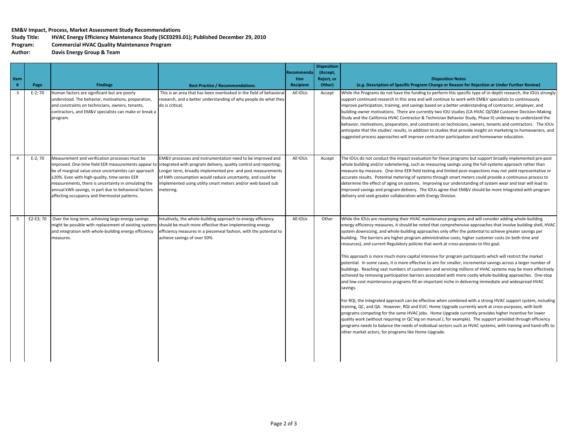#### **EM&V Impact, Process, Market Assessment Study Recommendations**

# **Study Title: HVAC Energy Efficiency Maintenance Study (SCE0293.01); Published December 29, 2010**

**Program: Commercial HVAC Quality Maintenance Program**

**Author: Energy Group & Team**

| Item<br>#               | Page      | <b>Findings</b>                                                                                                                                                                                                                                                                                                                                                                  | <b>Best Practice / Recommendations</b>                                                                                                                                                                                                                                                                                                 | Recommenda<br>tion<br><b>Recipient</b> | <b>Disposition</b><br>(Accept,<br>Reject, or<br>Other) | <b>Disposition Notes</b><br>(e.g. Description of Specific Program Change or Reason for Rejection or Under Further Review)                                                                                                                                                                                                                                                                                                                                                                                                                                                                                                                                                                                                                                                                                                                                                                                                                                                                                                                                                                                                                                                                                                                                                                                                                                                                                                                                                                                                                                                                                                                                                                                                                              |
|-------------------------|-----------|----------------------------------------------------------------------------------------------------------------------------------------------------------------------------------------------------------------------------------------------------------------------------------------------------------------------------------------------------------------------------------|----------------------------------------------------------------------------------------------------------------------------------------------------------------------------------------------------------------------------------------------------------------------------------------------------------------------------------------|----------------------------------------|--------------------------------------------------------|--------------------------------------------------------------------------------------------------------------------------------------------------------------------------------------------------------------------------------------------------------------------------------------------------------------------------------------------------------------------------------------------------------------------------------------------------------------------------------------------------------------------------------------------------------------------------------------------------------------------------------------------------------------------------------------------------------------------------------------------------------------------------------------------------------------------------------------------------------------------------------------------------------------------------------------------------------------------------------------------------------------------------------------------------------------------------------------------------------------------------------------------------------------------------------------------------------------------------------------------------------------------------------------------------------------------------------------------------------------------------------------------------------------------------------------------------------------------------------------------------------------------------------------------------------------------------------------------------------------------------------------------------------------------------------------------------------------------------------------------------------|
| $\overline{\mathbf{3}}$ | $E-2; 70$ | Human factors are significant but are poorly<br>understood. The behavior, motivations, preparation,<br>and constraints on technicians, owners, tenants,<br>contractors, and EM&V specialists can make or break a<br>program.                                                                                                                                                     | This is an area that has been overlooked in the field of behavioral<br>research, and a better understanding of why people do what they<br>do is critical;                                                                                                                                                                              | All IOUs                               | Accept                                                 | While the Programs do not have the funding to perform this specific type of in-depth research, the IOUs strongly<br>support continued research in this area and will continue to work with EM&V specialists to continuously<br>improve participation, training, and savings based on a better understanding of contractor, employer, and<br>building owner motivations. There are currently two IOU studies (CA HVAC QI/QM Customer Decision-Making<br>Study and the California HVAC Contractor & Technician Behavior Study, Phase II) underway to understand the<br>behavior, motivations, preparation, and constraints on technicians, owners, tenants and contractors. The IOUs<br>anticipate that the studies' results, in addition to studies that provide insight on marketing to homeowners, and<br>suggested process approaches will improve contractor participation and homeowner education.                                                                                                                                                                                                                                                                                                                                                                                                                                                                                                                                                                                                                                                                                                                                                                                                                                                 |
| $\Delta$                | $E-2; 70$ | Measurement and verification processes must be<br>improved. One-time field EER measurements appear to<br>be of marginal value since uncertainties can approach<br>±20%. Even with high-quality, time-series EER<br>measurements, there is uncertainty in simulating the<br>annual kWh savings, in part due to behavioral factors<br>affecting occupancy and thermostat patterns. | EM&V processes and instrumentation need to be improved and<br>integrated with program delivery, quality control and reporting;<br>Longer term, broadly implemented pre- and post measurements<br>of kWh consumption would reduce uncertainty, and could be<br>implemented using utility smart meters and/or web based sub<br>metering. | All IOUs                               | Accept                                                 | The IOUs do not conduct the impact evaluation for these programs but support broadly implemented pre-post<br>whole building and/or submetering, such as measuring savings using the full-systems approach rather than<br>measure-by-measure. One-time EER field testing and limited post-inspections may not yield representative or<br>accurate results. Potential metering of systems through smart meters could provide a continuous process to<br>determine the effect of aging on systems. Improving our understanding of system wear and tear will lead to<br>improved savings and program delivery. The IOUs agree that EM&V should be more integrated with program<br>delivery and seek greater collaboration with Energy Division.                                                                                                                                                                                                                                                                                                                                                                                                                                                                                                                                                                                                                                                                                                                                                                                                                                                                                                                                                                                                            |
| -5                      | E2-E3; 70 | Over the long term, achieving large energy savings<br>might be possible with replacement of existing systems<br>and integration with whole-building energy efficiency<br>measures.                                                                                                                                                                                               | Intuitively, the whole-building approach to energy efficiency<br>should be much more effective than implementing energy<br>efficiency measures in a piecemeal fashion, with the potential to<br>achieve savings of over 50%.                                                                                                           | All IOUs                               | Other                                                  | While the IOUs are revamping their HVAC maintenance programs and will consider adding whole-building<br>energy efficiency measures, it should be noted that comprehensive approaches that involve building shell, HVAC<br>system downsizing, and whole-building approaches only offer the potential to achieve greater savings per<br>building. The barriers are higher program administrative costs, higher customer costs (in both time and<br>resources), and current Regulatory policies that work at cross-purposes to this goal.<br>This approach is more much more capital intensive for program participants which will restrict the market<br>potential. In some cases, it is more effective to aim for smaller, incremental savings across a larger number of<br>buildings. Reaching vast numbers of customers and servicing millions of HVAC systems may be more effectively<br>achieved by removing participation barriers associated with more costly whole-building approaches. One-stop<br>and low-cost maintenance programs fill an important niche in delivering immediate and widespread HVAC<br>savings.<br>For RQI, the integrated approach can be effective when combined with a strong HVAC support system, including<br>training, QC, and QA. However, RQI and EUC: Home Upgrade currently work at cross-purposes, with both<br>programs competing for the same HVAC jobs. Home Upgrade currently provides higher incentive for lower<br>quality work (without requiring or QC'ing on manual J, for example). The support provided through efficiency<br>programs needs to balance the needs of individual sectors such as HVAC systems, with training and hand-offs to<br>other market actors, for programs like Home Upgrade. |